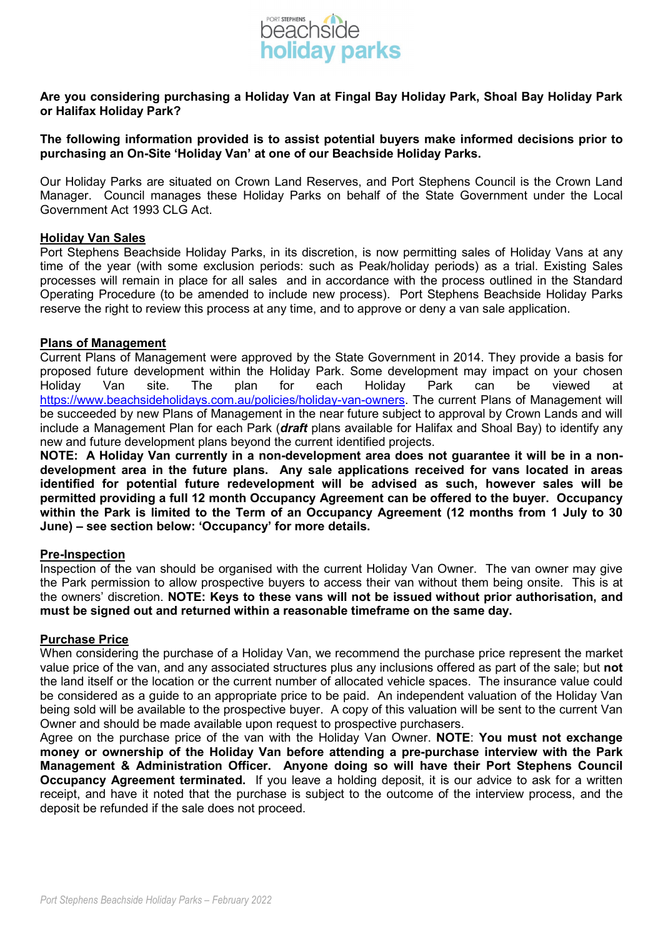

# **Are you considering purchasing a Holiday Van at Fingal Bay Holiday Park, Shoal Bay Holiday Park or Halifax Holiday Park?**

## **The following information provided is to assist potential buyers make informed decisions prior to purchasing an On-Site 'Holiday Van' at one of our Beachside Holiday Parks.**

Our Holiday Parks are situated on Crown Land Reserves, and Port Stephens Council is the Crown Land Manager. Council manages these Holiday Parks on behalf of the State Government under the Local Government Act 1993 CLG Act.

### **Holiday Van Sales**

Port Stephens Beachside Holiday Parks, in its discretion, is now permitting sales of Holiday Vans at any time of the year (with some exclusion periods: such as Peak/holiday periods) as a trial. Existing Sales processes will remain in place for all sales and in accordance with the process outlined in the Standard Operating Procedure (to be amended to include new process). Port Stephens Beachside Holiday Parks reserve the right to review this process at any time, and to approve or deny a van sale application.

### **Plans of Management**

Current Plans of Management were approved by the State Government in 2014. They provide a basis for proposed future development within the Holiday Park. Some development may impact on your chosen Holiday Van site. The plan for each Holiday Park can be viewed at [https://www.beachsideholidays.com.au/policies/holiday-van-owners.](https://www.beachsideholidays.com.au/policies/holiday-van-owners) The current Plans of Management will be succeeded by new Plans of Management in the near future subject to approval by Crown Lands and will include a Management Plan for each Park (*draft* plans available for Halifax and Shoal Bay) to identify any new and future development plans beyond the current identified projects.

**NOTE: A Holiday Van currently in a non-development area does not guarantee it will be in a nondevelopment area in the future plans. Any sale applications received for vans located in areas identified for potential future redevelopment will be advised as such, however sales will be permitted providing a full 12 month Occupancy Agreement can be offered to the buyer. Occupancy within the Park is limited to the Term of an Occupancy Agreement (12 months from 1 July to 30 June) – see section below: 'Occupancy' for more details.**

# **Pre-Inspection**

Inspection of the van should be organised with the current Holiday Van Owner. The van owner may give the Park permission to allow prospective buyers to access their van without them being onsite. This is at the owners' discretion. **NOTE: Keys to these vans will not be issued without prior authorisation, and must be signed out and returned within a reasonable timeframe on the same day.**

# **Purchase Price**

When considering the purchase of a Holiday Van, we recommend the purchase price represent the market value price of the van, and any associated structures plus any inclusions offered as part of the sale; but **not** the land itself or the location or the current number of allocated vehicle spaces. The insurance value could be considered as a guide to an appropriate price to be paid. An independent valuation of the Holiday Van being sold will be available to the prospective buyer. A copy of this valuation will be sent to the current Van Owner and should be made available upon request to prospective purchasers.

Agree on the purchase price of the van with the Holiday Van Owner. **NOTE**: **You must not exchange money or ownership of the Holiday Van before attending a pre-purchase interview with the Park Management & Administration Officer. Anyone doing so will have their Port Stephens Council Occupancy Agreement terminated.** If you leave a holding deposit, it is our advice to ask for a written receipt, and have it noted that the purchase is subject to the outcome of the interview process, and the deposit be refunded if the sale does not proceed.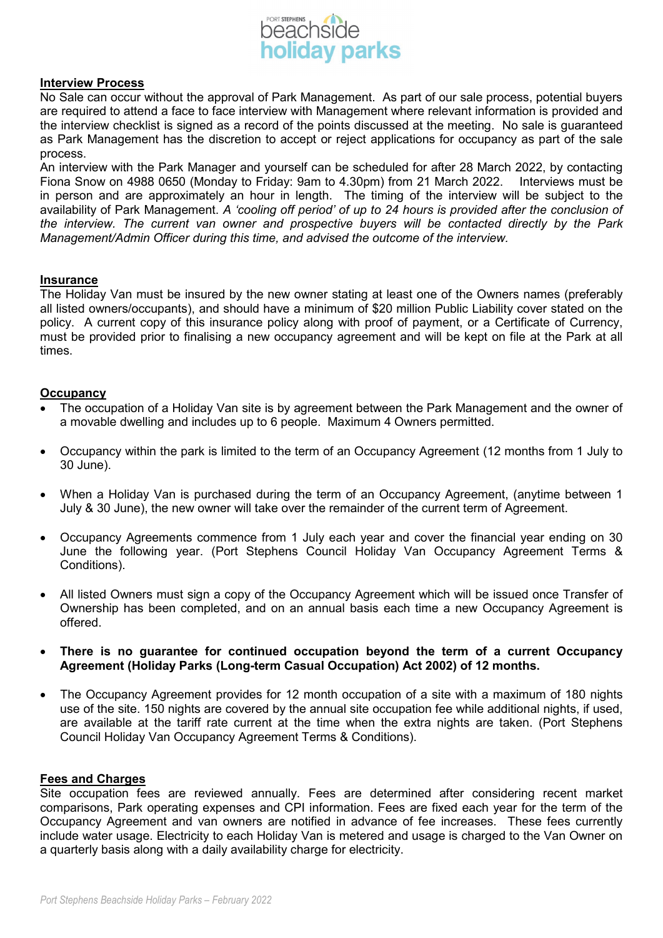

### **Interview Process**

No Sale can occur without the approval of Park Management. As part of our sale process, potential buyers are required to attend a face to face interview with Management where relevant information is provided and the interview checklist is signed as a record of the points discussed at the meeting. No sale is guaranteed as Park Management has the discretion to accept or reject applications for occupancy as part of the sale process.

An interview with the Park Manager and yourself can be scheduled for after 28 March 2022, by contacting Fiona Snow on 4988 0650 (Monday to Friday: 9am to 4.30pm) from 21 March 2022. Interviews must be in person and are approximately an hour in length. The timing of the interview will be subject to the availability of Park Management. *A 'cooling off period' of up to 24 hours is provided after the conclusion of the interview. The current van owner and prospective buyers will be contacted directly by the Park Management/Admin Officer during this time, and advised the outcome of the interview.*

### **Insurance**

The Holiday Van must be insured by the new owner stating at least one of the Owners names (preferably all listed owners/occupants), and should have a minimum of \$20 million Public Liability cover stated on the policy. A current copy of this insurance policy along with proof of payment, or a Certificate of Currency, must be provided prior to finalising a new occupancy agreement and will be kept on file at the Park at all times.

### **Occupancy**

- The occupation of a Holiday Van site is by agreement between the Park Management and the owner of a movable dwelling and includes up to 6 people. Maximum 4 Owners permitted.
- Occupancy within the park is limited to the term of an Occupancy Agreement (12 months from 1 July to 30 June).
- When a Holiday Van is purchased during the term of an Occupancy Agreement, (anytime between 1 July & 30 June), the new owner will take over the remainder of the current term of Agreement.
- Occupancy Agreements commence from 1 July each year and cover the financial year ending on 30 June the following year. (Port Stephens Council Holiday Van Occupancy Agreement Terms & Conditions).
- All listed Owners must sign a copy of the Occupancy Agreement which will be issued once Transfer of Ownership has been completed, and on an annual basis each time a new Occupancy Agreement is offered.
- **There is no guarantee for continued occupation beyond the term of a current Occupancy Agreement (Holiday Parks (Long-term Casual Occupation) Act 2002) of 12 months.**
- The Occupancy Agreement provides for 12 month occupation of a site with a maximum of 180 nights use of the site. 150 nights are covered by the annual site occupation fee while additional nights, if used, are available at the tariff rate current at the time when the extra nights are taken. (Port Stephens Council Holiday Van Occupancy Agreement Terms & Conditions).

### **Fees and Charges**

Site occupation fees are reviewed annually. Fees are determined after considering recent market comparisons, Park operating expenses and CPI information. Fees are fixed each year for the term of the Occupancy Agreement and van owners are notified in advance of fee increases. These fees currently include water usage. Electricity to each Holiday Van is metered and usage is charged to the Van Owner on a quarterly basis along with a daily availability charge for electricity.